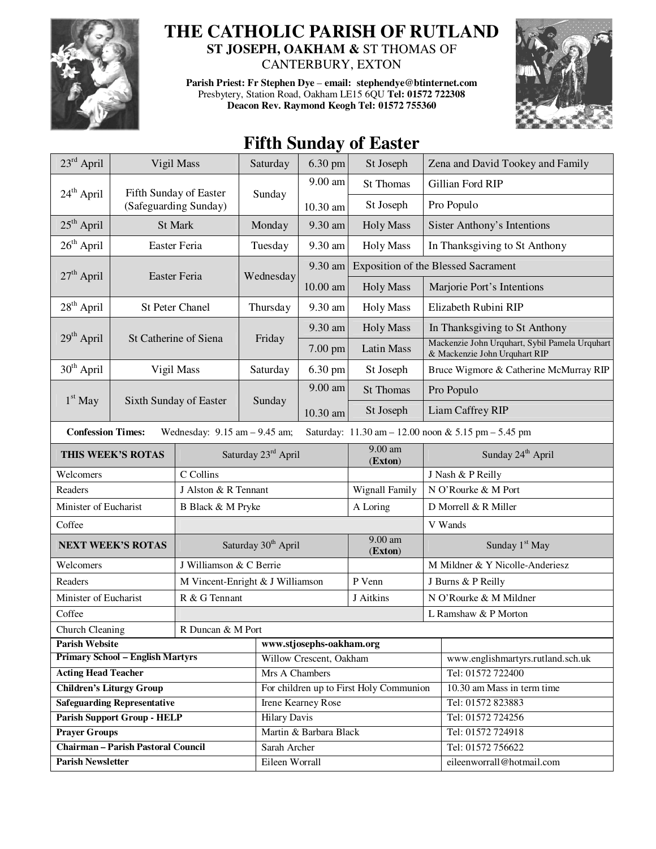

## **THE CATHOLIC PARISH OF RUTLAND**

**ST JOSEPH, OAKHAM &** ST THOMAS OF CANTERBURY, EXTON

**Parish Priest: Fr Stephen Dye** – **email: stephendye@btinternet.com** Presbytery, Station Road, Oakham LE15 6QU **Tel: 01572 722308 Deacon Rev. Raymond Keogh Tel: 01572 755360** 



## **Fifth Sunday of Easter**

| $23^{\text{rd}}$ April                                                                                               | Vigil Mass             |                                  | Saturday                                | $6.30$ pm               | St Joseph            |                                            | Zena and David Tookey and Family                                                |  |
|----------------------------------------------------------------------------------------------------------------------|------------------------|----------------------------------|-----------------------------------------|-------------------------|----------------------|--------------------------------------------|---------------------------------------------------------------------------------|--|
|                                                                                                                      |                        | Fifth Sunday of Easter           |                                         | 9.00 am                 | <b>St Thomas</b>     |                                            | Gillian Ford RIP                                                                |  |
| 24 <sup>th</sup> April                                                                                               |                        | (Safeguarding Sunday)            | Sunday                                  | 10.30 am                | St Joseph            |                                            | Pro Populo                                                                      |  |
| $25th$ April                                                                                                         | St Mark                |                                  | Monday                                  | 9.30 am                 | <b>Holy Mass</b>     |                                            | <b>Sister Anthony's Intentions</b>                                              |  |
| $26th$ April                                                                                                         | Easter Feria           |                                  | Tuesday                                 | 9.30 am                 | <b>Holy Mass</b>     |                                            | In Thanksgiving to St Anthony                                                   |  |
|                                                                                                                      |                        |                                  |                                         | 9.30 am                 |                      | <b>Exposition of the Blessed Sacrament</b> |                                                                                 |  |
| $27th$ April<br>Easter Feria                                                                                         |                        |                                  | Wednesday                               | 10.00 am                | <b>Holy Mass</b>     |                                            | Marjorie Port's Intentions                                                      |  |
| 28 <sup>th</sup> April                                                                                               | <b>St Peter Chanel</b> |                                  | Thursday                                | 9.30 am                 | <b>Holy Mass</b>     |                                            | Elizabeth Rubini RIP                                                            |  |
|                                                                                                                      |                        |                                  |                                         | 9.30 am                 | <b>Holy Mass</b>     |                                            | In Thanksgiving to St Anthony                                                   |  |
| $29th$ April<br>St Catherine of Siena                                                                                |                        |                                  | Friday                                  | 7.00 pm                 | Latin Mass           |                                            | Mackenzie John Urquhart, Sybil Pamela Urquhart<br>& Mackenzie John Urquhart RIP |  |
| $30th$ April                                                                                                         | Vigil Mass             |                                  | Saturday                                | 6.30 pm                 | St Joseph            |                                            | Bruce Wigmore & Catherine McMurray RIP                                          |  |
|                                                                                                                      |                        |                                  |                                         | 9.00 am                 | <b>St Thomas</b>     |                                            | Pro Populo                                                                      |  |
| $1st$ May                                                                                                            |                        | Sixth Sunday of Easter           | Sunday                                  | 10.30 am                | St Joseph            |                                            | Liam Caffrey RIP                                                                |  |
| <b>Confession Times:</b><br>Wednesday: $9.15$ am $- 9.45$ am;<br>Saturday: 11.30 am - 12.00 noon & 5.15 pm - 5.45 pm |                        |                                  |                                         |                         |                      |                                            |                                                                                 |  |
| THIS WEEK'S ROTAS                                                                                                    |                        |                                  | Saturday 23rd April                     |                         | 9.00 am<br>(Exton)   | Sunday 24 <sup>th</sup> April              |                                                                                 |  |
| Welcomers                                                                                                            |                        | C Collins                        |                                         |                         |                      | J Nash & P Reilly                          |                                                                                 |  |
| Readers                                                                                                              |                        | J Alston & R Tennant             |                                         |                         | Wignall Family       | N O'Rourke & M Port                        |                                                                                 |  |
| Minister of Eucharist                                                                                                |                        | B Black & M Pryke                |                                         |                         | A Loring             | D Morrell & R Miller                       |                                                                                 |  |
| Coffee                                                                                                               |                        |                                  |                                         |                         |                      | V Wands                                    |                                                                                 |  |
| <b>NEXT WEEK'S ROTAS</b>                                                                                             |                        |                                  | Saturday 30 <sup>th</sup> April         |                         | 9.00 am<br>(Exton)   | Sunday 1 <sup>st</sup> May                 |                                                                                 |  |
| Welcomers                                                                                                            |                        | J Williamson & C Berrie          |                                         |                         |                      | M Mildner & Y Nicolle-Anderiesz            |                                                                                 |  |
| Readers                                                                                                              |                        | M Vincent-Enright & J Williamson |                                         |                         | P Venn               | J Burns & P Reilly                         |                                                                                 |  |
| Minister of Eucharist                                                                                                |                        | R & G Tennant                    |                                         |                         | J Aitkins            | N O'Rourke & M Mildner                     |                                                                                 |  |
| Coffee                                                                                                               |                        |                                  |                                         |                         | L Ramshaw & P Morton |                                            |                                                                                 |  |
| Church Cleaning<br>R Duncan & M Port                                                                                 |                        |                                  |                                         |                         |                      |                                            |                                                                                 |  |
| <b>Parish Website</b>                                                                                                |                        |                                  | www.stjosephs-oakham.org                |                         |                      |                                            |                                                                                 |  |
| <b>Primary School - English Martyrs</b>                                                                              |                        |                                  |                                         | Willow Crescent, Oakham |                      |                                            | www.englishmartyrs.rutland.sch.uk                                               |  |
| <b>Acting Head Teacher</b>                                                                                           |                        |                                  | Mrs A Chambers                          |                         |                      | Tel: 01572 722400                          |                                                                                 |  |
| <b>Children's Liturgy Group</b>                                                                                      |                        |                                  | For children up to First Holy Communion |                         |                      | 10.30 am Mass in term time                 |                                                                                 |  |
| <b>Safeguarding Representative</b>                                                                                   |                        |                                  | Irene Kearney Rose                      |                         |                      | Tel: 01572 823883                          |                                                                                 |  |
| <b>Parish Support Group - HELP</b>                                                                                   |                        |                                  | <b>Hilary Davis</b>                     |                         |                      | Tel: 01572 724256                          |                                                                                 |  |
| <b>Prayer Groups</b>                                                                                                 |                        |                                  | Martin & Barbara Black                  |                         |                      | Tel: 01572 724918                          |                                                                                 |  |
| <b>Chairman - Parish Pastoral Council</b>                                                                            |                        |                                  | Sarah Archer                            |                         |                      | Tel: 01572 756622                          |                                                                                 |  |
| <b>Parish Newsletter</b>                                                                                             |                        |                                  | Eileen Worrall                          |                         |                      | eileenworrall@hotmail.com                  |                                                                                 |  |